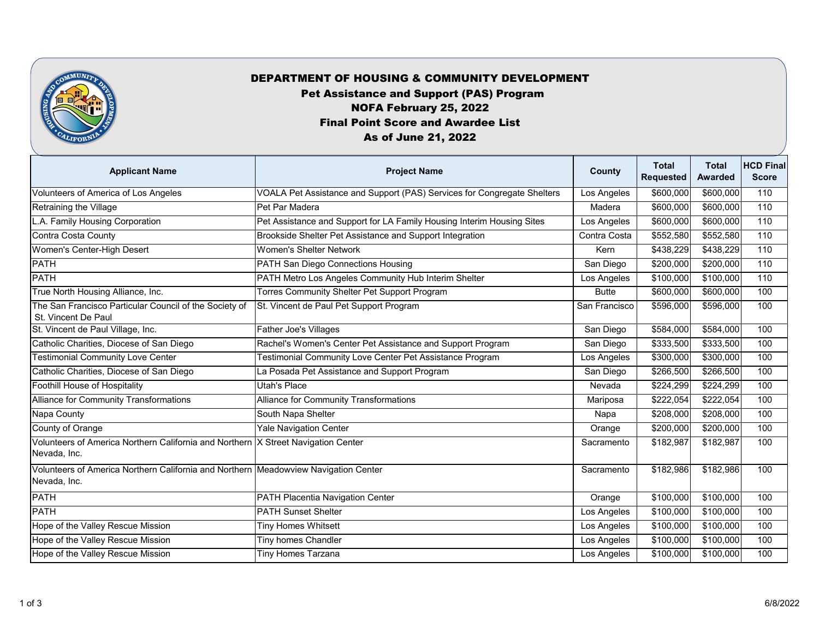

## DEPARTMENT OF HOUSING & COMMUNITY DEVELOPMENT

Pet Assistance and Support (PAS) Program

NOFA February 25, 2022

Final Point Score and Awardee List

## As of June 21, 2022

| <b>Applicant Name</b>                                                                               | <b>Project Name</b>                                                     | County        | <b>Total</b><br><b>Requested</b> | <b>Total</b><br><b>Awarded</b> | <b>HCD Final</b><br><b>Score</b> |
|-----------------------------------------------------------------------------------------------------|-------------------------------------------------------------------------|---------------|----------------------------------|--------------------------------|----------------------------------|
| <b>Volunteers of America of Los Angeles</b>                                                         | VOALA Pet Assistance and Support (PAS) Services for Congregate Shelters | Los Angeles   | \$600,000                        | \$600,000                      | 110                              |
| Retraining the Village                                                                              | Pet Par Madera                                                          | Madera        | \$600,000                        | \$600,000                      | 110                              |
| A. Family Housing Corporation                                                                       | Pet Assistance and Support for LA Family Housing Interim Housing Sites  | Los Angeles   | \$600,000                        | \$600,000                      | 110                              |
| Contra Costa County                                                                                 | Brookside Shelter Pet Assistance and Support Integration                | Contra Costa  | \$552,580                        | \$552,580                      | 110                              |
| Women's Center-High Desert                                                                          | <b>Women's Shelter Network</b>                                          | Kern          | \$438,229                        | \$438,229                      | 110                              |
| <b>PATH</b>                                                                                         | <b>PATH San Diego Connections Housing</b>                               | San Diego     | \$200,000                        | \$200,000                      | 110                              |
| <b>PATH</b>                                                                                         | PATH Metro Los Angeles Community Hub Interim Shelter                    | Los Angeles   | \$100,000                        | \$100,000                      | 110                              |
| True North Housing Alliance, Inc.                                                                   | <b>Torres Community Shelter Pet Support Program</b>                     | <b>Butte</b>  | \$600,000                        | \$600,000                      | 100                              |
| The San Francisco Particular Council of the Society of<br>St. Vincent De Paul                       | St. Vincent de Paul Pet Support Program                                 | San Francisco | \$596,000                        | \$596,000                      | 100                              |
| St. Vincent de Paul Village, Inc.                                                                   | <b>Father Joe's Villages</b>                                            | San Diego     | \$584,000                        | \$584,000                      | 100                              |
| Catholic Charities, Diocese of San Diego                                                            | Rachel's Women's Center Pet Assistance and Support Program              | San Diego     | \$333,500                        | \$333,500                      | 100                              |
| <b>Testimonial Community Love Center</b>                                                            | <b>Testimonial Community Love Center Pet Assistance Program</b>         | Los Angeles   | \$300,000                        | \$300,000                      | 100                              |
| Catholic Charities, Diocese of San Diego                                                            | La Posada Pet Assistance and Support Program                            | San Diego     | \$266,500                        | \$266,500                      | 100                              |
| <b>Foothill House of Hospitality</b>                                                                | Utah's Place                                                            | Nevada        | \$224,299                        | \$224,299                      | 100                              |
| <b>Alliance for Community Transformations</b>                                                       | <b>Alliance for Community Transformations</b>                           | Mariposa      | \$222,054                        | \$222,054                      | 100                              |
| Napa County                                                                                         | South Napa Shelter                                                      | Napa          | \$208,000                        | \$208,000                      | 100                              |
| <b>County of Orange</b>                                                                             | <b>Yale Navigation Center</b>                                           | Orange        | \$200,000                        | \$200,000                      | 100                              |
| Volunteers of America Northern California and Northern  X Street Navigation Center<br>Nevada, Inc.  |                                                                         | Sacramento    | \$182,987                        | \$182,987                      | 100                              |
| Volunteers of America Northern California and Northern Meadowview Navigation Center<br>Nevada, Inc. |                                                                         | Sacramento    | \$182,986                        | \$182,986                      | 100                              |
| <b>PATH</b>                                                                                         | PATH Placentia Navigation Center                                        | Orange        | \$100,000                        | \$100,000                      | 100                              |
| <b>PATH</b>                                                                                         | <b>PATH Sunset Shelter</b>                                              | Los Angeles   | \$100,000                        | \$100,000                      | 100                              |
| Hope of the Valley Rescue Mission                                                                   | <b>Tiny Homes Whitsett</b>                                              | Los Angeles   | \$100,000                        | \$100,000                      | 100                              |
| Hope of the Valley Rescue Mission                                                                   | <b>Tiny homes Chandler</b>                                              | Los Angeles   | \$100,000                        | \$100,000                      | 100                              |
| Hope of the Valley Rescue Mission                                                                   | <b>Tiny Homes Tarzana</b>                                               | Los Angeles   | \$100,000                        | \$100,000                      | 100                              |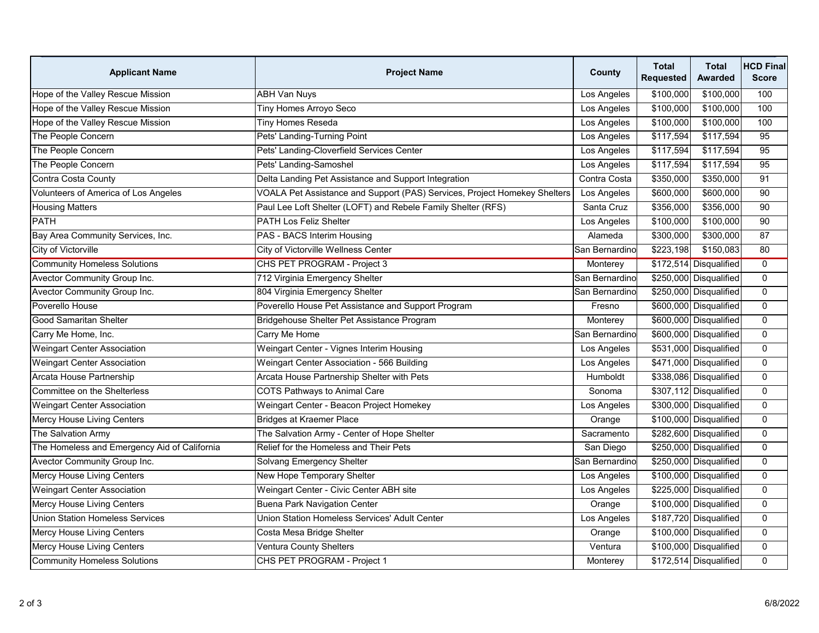| <b>Applicant Name</b>                        | <b>Project Name</b>                                                       | <b>County</b>  | <b>Total</b><br><b>Requested</b> | <b>Total</b><br><b>Awarded</b> | <b>HCD Final</b><br><b>Score</b> |
|----------------------------------------------|---------------------------------------------------------------------------|----------------|----------------------------------|--------------------------------|----------------------------------|
| Hope of the Valley Rescue Mission            | <b>ABH Van Nuys</b>                                                       | Los Angeles    | \$100,000                        | \$100,000                      | 100                              |
| Hope of the Valley Rescue Mission            | Tiny Homes Arroyo Seco                                                    | Los Angeles    | \$100,000                        | \$100,000                      | 100                              |
| Hope of the Valley Rescue Mission            | <b>Tiny Homes Reseda</b>                                                  | Los Angeles    | \$100,000                        | \$100,000                      | 100                              |
| The People Concern                           | Pets' Landing-Turning Point                                               | Los Angeles    | \$117,594                        | \$117,594                      | 95                               |
| The People Concern                           | Pets' Landing-Cloverfield Services Center                                 | Los Angeles    | \$117,594                        | \$117,594                      | 95                               |
| The People Concern                           | Pets' Landing-Samoshel                                                    | Los Angeles    | \$117,594                        | \$117,594                      | 95                               |
| Contra Costa County                          | Delta Landing Pet Assistance and Support Integration                      | Contra Costa   | \$350,000                        | \$350,000                      | 91                               |
| <b>Volunteers of America of Los Angeles</b>  | VOALA Pet Assistance and Support (PAS) Services, Project Homekey Shelters | Los Angeles    | \$600,000                        | $\sqrt{$600,000}$              | 90                               |
| <b>Housing Matters</b>                       | Paul Lee Loft Shelter (LOFT) and Rebele Family Shelter (RFS)              | Santa Cruz     | \$356,000                        | \$356,000                      | 90                               |
| <b>PATH</b>                                  | <b>PATH Los Feliz Shelter</b>                                             | Los Angeles    | \$100,000                        | \$100,000                      | 90                               |
| Bay Area Community Services, Inc.            | <b>PAS - BACS Interim Housing</b>                                         | Alameda        | \$300,000                        | \$300,000                      | 87                               |
| City of Victorville                          | City of Victorville Wellness Center                                       | San Bernardino | \$223,198                        | \$150,083                      | 80                               |
| <b>Community Homeless Solutions</b>          | CHS PET PROGRAM - Project 3                                               | Monterey       |                                  | \$172,514 Disqualified         | $\overline{0}$                   |
| <b>Avector Community Group Inc.</b>          | 712 Virginia Emergency Shelter                                            | San Bernardino |                                  | \$250,000 Disqualified         | $\overline{0}$                   |
| <b>Avector Community Group Inc.</b>          | 804 Virginia Emergency Shelter                                            | San Bernardino |                                  | \$250,000 Disqualified         | $\overline{0}$                   |
| Poverello House                              | Poverello House Pet Assistance and Support Program                        | Fresno         |                                  | \$600,000 Disqualified         | $\overline{0}$                   |
| <b>Good Samaritan Shelter</b>                | Bridgehouse Shelter Pet Assistance Program                                | Monterey       |                                  | \$600,000 Disqualified         | $\mathbf 0$                      |
| Carry Me Home, Inc.                          | Carry Me Home                                                             | San Bernardino |                                  | \$600,000 Disqualified         | $\overline{0}$                   |
| <b>Weingart Center Association</b>           | Weingart Center - Vignes Interim Housing                                  | Los Angeles    |                                  | \$531,000 Disqualified         | $\overline{0}$                   |
| <b>Weingart Center Association</b>           | Weingart Center Association - 566 Building                                | Los Angeles    |                                  | \$471,000 Disqualified         | $\overline{0}$                   |
| Arcata House Partnership                     | Arcata House Partnership Shelter with Pets                                | Humboldt       |                                  | \$338,086 Disqualified         | $\overline{0}$                   |
| Committee on the Shelterless                 | COTS Pathways to Animal Care                                              | Sonoma         |                                  | \$307,112 Disqualified         | $\overline{0}$                   |
| <b>Weingart Center Association</b>           | Weingart Center - Beacon Project Homekey                                  | Los Angeles    |                                  | \$300,000 Disqualified         | $\mathbf{0}$                     |
| <b>Mercy House Living Centers</b>            | Bridges at Kraemer Place                                                  | Orange         |                                  | \$100,000 Disqualified         | $\overline{0}$                   |
| The Salvation Army                           | The Salvation Army - Center of Hope Shelter                               | Sacramento     |                                  | \$282,600 Disqualified         | $\overline{0}$                   |
| The Homeless and Emergency Aid of California | <b>Relief for the Homeless and Their Pets</b>                             | San Diego      |                                  | \$250,000 Disqualified         | $\overline{0}$                   |
| <b>Avector Community Group Inc.</b>          | Solvang Emergency Shelter                                                 | San Bernardino |                                  | \$250,000 Disqualified         | $\overline{0}$                   |
| <b>Mercy House Living Centers</b>            | New Hope Temporary Shelter                                                | Los Angeles    |                                  | \$100,000 Disqualified         | $\overline{0}$                   |
| <b>Weingart Center Association</b>           | Weingart Center - Civic Center ABH site                                   | Los Angeles    |                                  | \$225,000 Disqualified         | $\overline{0}$                   |
| <b>Mercy House Living Centers</b>            | <b>Buena Park Navigation Center</b>                                       | Orange         |                                  | \$100,000 Disqualified         | $\overline{0}$                   |
| <b>Union Station Homeless Services</b>       | Union Station Homeless Services' Adult Center                             | Los Angeles    |                                  | \$187,720 Disqualified         | $\overline{0}$                   |
| <b>Mercy House Living Centers</b>            | Costa Mesa Bridge Shelter                                                 | Orange         |                                  | \$100,000 Disqualified         | $\overline{0}$                   |
| <b>Mercy House Living Centers</b>            | <b>Ventura County Shelters</b>                                            | Ventura        |                                  | \$100,000 Disqualified         | $\overline{0}$                   |
| <b>Community Homeless Solutions</b>          | CHS PET PROGRAM - Project 1                                               | Monterey       |                                  | \$172,514 Disqualified         | $\overline{0}$                   |